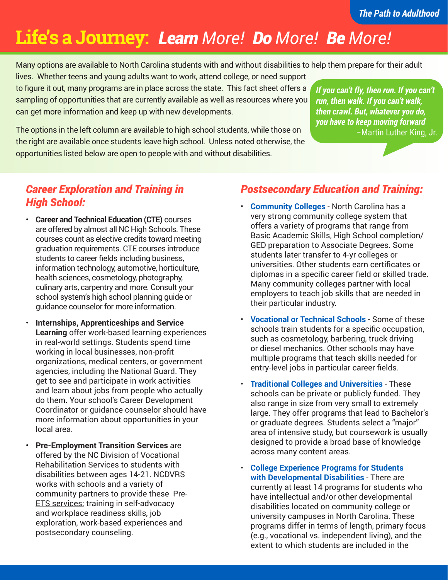# **Life's a Journey:** *Learn More! Do More! Be More!*

Many options are available to North Carolina students with and without disabilities to help them prepare for their adult

lives. Whether teens and young adults want to work, attend college, or need support to figure it out, many programs are in place across the state. This fact sheet offers a sampling of opportunities that are currently available as well as resources where you can get more information and keep up with new developments.

*If you can't fly, then run. If you can't run, then walk. If you can't walk, then crawl. But, whatever you do, you have to keep moving forward* –Martin Luther King, Jr.

The options in the left column are available to high school students, while those on the right are available once students leave high school. Unless noted otherwise, the opportunities listed below are open to people with and without disabilities.

# *Career Exploration and Training in High School:*

- **Career and Technical Education (CTE)** courses are offered by almost all NC High Schools. These courses count as elective credits toward meeting graduation requirements. CTE courses introduce students to career fields including business, information technology, automotive, horticulture, health sciences, cosmetology, photography, culinary arts, carpentry and more. Consult your school system's high school planning guide or guidance counselor for more information.
- **Internships, Apprenticeships and Service Learning** offer work-based learning experiences in real-world settings. Students spend time working in local businesses, non-profit organizations, medical centers, or government agencies, including the National Guard. They get to see and participate in work activities and learn about jobs from people who actually do them. Your school's Career Development Coordinator or guidance counselor should have more information about opportunities in your local area.
- **Pre-Employment Transition Services** are offered by the NC Division of Vocational Rehabilitation Services to students with disabilities between ages 14-21. NCDVRS works with schools and a variety of community partners to provide these Pre-**ETS services: training in self-advocacy** and workplace readiness skills, job exploration, work-based experiences and postsecondary counseling.

# *Postsecondary Education and Training:*

- **Community Colleges**  North Carolina has a very strong community college system that offers a variety of programs that range from Basic Academic Skills, High School completion/ GED preparation to Associate Degrees. Some students later transfer to 4-yr colleges or universities. Other students earn certificates or diplomas in a specific career field or skilled trade. Many community colleges partner with local employers to teach job skills that are needed in their particular industry.
- **Vocational or Technical Schools** Some of these schools train students for a specific occupation, such as cosmetology, barbering, truck driving or diesel mechanics. Other schools may have multiple programs that teach skills needed for entry-level jobs in particular career fields.
- **Traditional Colleges and Universities** These schools can be private or publicly funded. They also range in size from very small to extremely large. They offer programs that lead to Bachelor's or graduate degrees. Students select a "major" area of intensive study, but coursework is usually designed to provide a broad base of knowledge across many content areas.
- **College Experience Programs for Students with Developmental Disabilities** - There are currently at least 14 programs for students who have intellectual and/or other developmental disabilities located on community college or university campuses in North Carolina. These programs differ in terms of length, primary focus (e.g., vocational vs. independent living), and the extent to which students are included in the